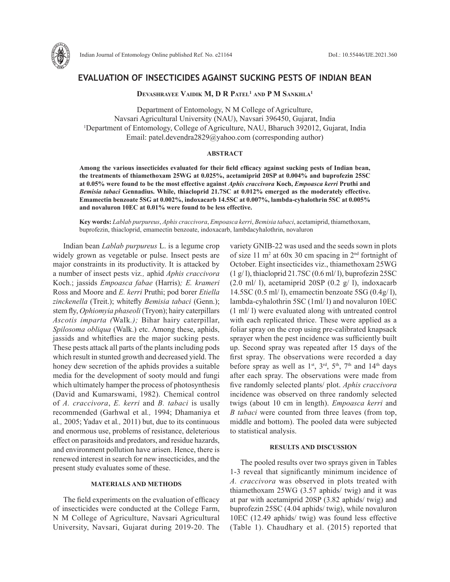

# **EVALUATION OF INSECTICIDES AGAINST SUCKING PESTS OF INDIAN BEAN**

**DEVASHRAYEE VAIDIK M, D R PATEL<sup>1</sup> AND P M SANKHLA<sup>1</sup>** 

Department of Entomology, N M College of Agriculture, Navsari Agricultural University (NAU), Navsari 396450, Gujarat, India 1 Department of Entomology, College of Agriculture, NAU, Bharuch 392012, Gujarat, India Email: patel.devendra2829@yahoo.com (corresponding author)

## **ABSTRACT**

**Among the various insecticides evaluated for their field efficacy against sucking pests of Indian bean, the treatments of thiamethoxam 25WG at 0.025%, acetamiprid 20SP at 0.004% and buprofezin 25SC at 0.05% were found to be the most effective against** *Aphis craccivora* **Koch,** *Empoasca kerri* **Pruthi and**  *Bemisia tabaci* **Gennadius. While, thiacloprid 21.7SC at 0.012% emerged as the moderately effective. Emamectin benzoate 5SG at 0.002%, indoxacarb 14.5SC at 0.007%, lambda-cyhalothrin 5SC at 0.005% and novaluron 10EC at 0.01% were found to be less effective.** 

**Key words:** *Lablab purpureus*, *Aphis craccivora*, *Empoasca kerri*, *Bemisia tabaci*, acetamiprid, thiamethoxam, buprofezin, thiacloprid, emamectin benzoate, indoxacarb, lambdacyhalothrin, novaluron

Indian bean *Lablab purpureus* L. is a legume crop widely grown as vegetable or pulse. Insect pests are major constraints in its productivity. It is attacked by a number of insect pests viz*.,* aphid *Aphis craccivora*  Koch.; jassids *Empoasca fabae* (Harris)*; E. krameri*  Ross and Moore and *E. kerri* Pruthi; pod borer *Etiella zinckenella* (Treit.); whitefly *Bemisia tabaci* (Genn.); stem fly, *Ophiomyia phaseoli* (Tryon); hairy caterpillars *Ascotis imparta (*WaIk*.);* Bihar hairy caterpillar, *Spilosoma obliqua* (Walk.) etc. Among these, aphids, jassids and whiteflies are the major sucking pests. These pests attack all parts of the plants including pods which result in stunted growth and decreased yield. The honey dew secretion of the aphids provides a suitable media for the development of sooty mould and fungi which ultimately hamper the process of photosynthesis (David and Kumarswami, 1982). Chemical control of *A. craccivora*, *E. kerri* and *B. tabaci* is usally recommended (Garhwal et al*.,* 1994; Dhamaniya et al*.,* 2005; Yadav et al*.,* 2011) but, due to its continuous and enormous use, problems of resistance, deleterious effect on parasitoids and predators, and residue hazards, and environment pollution have arisen. Hence, there is renewed interest in search for new insecticides, and the present study evaluates some of these.

### **MATERIALS AND METHODS**

The field experiments on the evaluation of efficacy of insecticides were conducted at the College Farm, N M College of Agriculture, Navsari Agricultural University, Navsari, Gujarat during 2019-20. The variety GNIB-22 was used and the seeds sown in plots of size 11  $m^2$  at 60x 30 cm spacing in  $2<sup>nd</sup>$  fortnight of October. Eight insecticides viz., thiamethoxam 25WG  $(1 g/l)$ , thiacloprid 21.7SC  $(0.6 ml/l)$ , buprofezin 25SC  $(2.0 \text{ ml}/ 1)$ , acetamiprid 20SP  $(0.2 \text{ g}/ 1)$ , indoxacarb 14.5SC (0.5 ml/ l), emamectin benzoate 5SG (0.4g/ l), lambda-cyhalothrin 5SC (1ml/ l) and novaluron 10EC (1 ml/ l) were evaluated along with untreated control with each replicated thrice. These were applied as a foliar spray on the crop using pre-calibrated knapsack sprayer when the pest incidence was sufficiently built up. Second spray was repeated after 15 days of the first spray. The observations were recorded a day before spray as well as  $1^{st}$ ,  $3^{rd}$ ,  $5^{th}$ ,  $7^{th}$  and  $14^{th}$  days after each spray. The observations were made from five randomly selected plants/ plot. *Aphis craccivora*  incidence was observed on three randomly selected twigs (about 10 cm in length). *Empoasca kerri* and *B tabaci* were counted from three leaves (from top, middle and bottom). The pooled data were subjected to statistical analysis.

#### **RESULTS AND DISCUSSION**

The pooled results over two sprays given in Tables 1-3 reveal that significantly minimum incidence of *A. craccivora* was observed in plots treated with thiamethoxam 25WG (3.57 aphids/ twig) and it was at par with acetamiprid 20SP (3.82 aphids/ twig) and buprofezin 25SC (4.04 aphids/ twig), while novaluron 10EC (12.49 aphids/ twig) was found less effective (Table 1). Chaudhary et al. (2015) reported that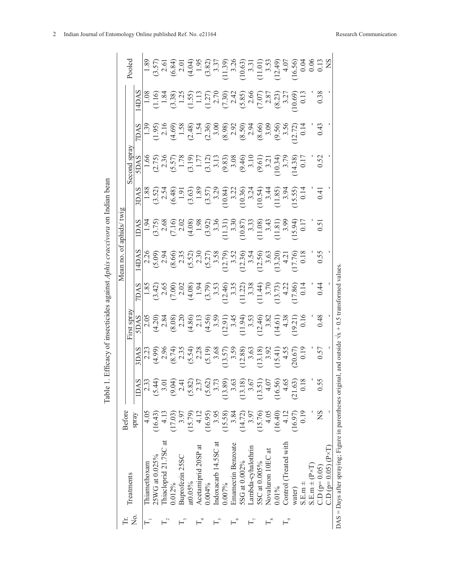|                      |                                                           |               |         |                   |                                                                                                                                                                                                                                                                                                                                                  |                                                                                                                                                                                                                                                                                                                   | ð<br>Mean no                                                                                                                                                                                                                        | twig<br>aphids/ |                                                                                                                                                                                                                                                                                                                 |               |                |                                                                                                                                                                                                                                                                       |                                                                                                                                                                                                                                                                                                               |
|----------------------|-----------------------------------------------------------|---------------|---------|-------------------|--------------------------------------------------------------------------------------------------------------------------------------------------------------------------------------------------------------------------------------------------------------------------------------------------------------------------------------------------|-------------------------------------------------------------------------------------------------------------------------------------------------------------------------------------------------------------------------------------------------------------------------------------------------------------------|-------------------------------------------------------------------------------------------------------------------------------------------------------------------------------------------------------------------------------------|-----------------|-----------------------------------------------------------------------------------------------------------------------------------------------------------------------------------------------------------------------------------------------------------------------------------------------------------------|---------------|----------------|-----------------------------------------------------------------------------------------------------------------------------------------------------------------------------------------------------------------------------------------------------------------------|---------------------------------------------------------------------------------------------------------------------------------------------------------------------------------------------------------------------------------------------------------------------------------------------------------------|
|                      | Treatments                                                | <b>Before</b> |         |                   | First spra                                                                                                                                                                                                                                                                                                                                       |                                                                                                                                                                                                                                                                                                                   |                                                                                                                                                                                                                                     |                 |                                                                                                                                                                                                                                                                                                                 | Second spra   |                |                                                                                                                                                                                                                                                                       | Pooled                                                                                                                                                                                                                                                                                                        |
| ò<br>Z               |                                                           | spray         | 1DAS    |                   |                                                                                                                                                                                                                                                                                                                                                  |                                                                                                                                                                                                                                                                                                                   |                                                                                                                                                                                                                                     |                 |                                                                                                                                                                                                                                                                                                                 | <b>SAC</b>    | DAS            | 4DAS                                                                                                                                                                                                                                                                  |                                                                                                                                                                                                                                                                                                               |
|                      | <b>Thiamethoxam</b>                                       | 4.05          | 2.33    |                   |                                                                                                                                                                                                                                                                                                                                                  |                                                                                                                                                                                                                                                                                                                   |                                                                                                                                                                                                                                     |                 |                                                                                                                                                                                                                                                                                                                 |               |                |                                                                                                                                                                                                                                                                       |                                                                                                                                                                                                                                                                                                               |
|                      | 25WG at 0.025%                                            | (16.43)       | (5.44)  |                   |                                                                                                                                                                                                                                                                                                                                                  |                                                                                                                                                                                                                                                                                                                   |                                                                                                                                                                                                                                     |                 |                                                                                                                                                                                                                                                                                                                 |               |                |                                                                                                                                                                                                                                                                       |                                                                                                                                                                                                                                                                                                               |
|                      | Thiacloprid 21.7SC at                                     |               | 3.01    |                   |                                                                                                                                                                                                                                                                                                                                                  |                                                                                                                                                                                                                                                                                                                   |                                                                                                                                                                                                                                     |                 |                                                                                                                                                                                                                                                                                                                 |               |                |                                                                                                                                                                                                                                                                       |                                                                                                                                                                                                                                                                                                               |
|                      | 0.012%                                                    | (17.03)       | (9.04)  |                   |                                                                                                                                                                                                                                                                                                                                                  |                                                                                                                                                                                                                                                                                                                   |                                                                                                                                                                                                                                     |                 |                                                                                                                                                                                                                                                                                                                 |               |                |                                                                                                                                                                                                                                                                       |                                                                                                                                                                                                                                                                                                               |
|                      | Buprofezin 25SC                                           | 3.97          | 2.41    |                   |                                                                                                                                                                                                                                                                                                                                                  |                                                                                                                                                                                                                                                                                                                   |                                                                                                                                                                                                                                     |                 |                                                                                                                                                                                                                                                                                                                 |               |                |                                                                                                                                                                                                                                                                       |                                                                                                                                                                                                                                                                                                               |
|                      | at0.05%                                                   | (15.79)       | (5.82)  |                   |                                                                                                                                                                                                                                                                                                                                                  |                                                                                                                                                                                                                                                                                                                   |                                                                                                                                                                                                                                     |                 |                                                                                                                                                                                                                                                                                                                 |               |                |                                                                                                                                                                                                                                                                       |                                                                                                                                                                                                                                                                                                               |
|                      | Acetamiprid 20SP at                                       | 4.12          | 2.37    |                   |                                                                                                                                                                                                                                                                                                                                                  |                                                                                                                                                                                                                                                                                                                   |                                                                                                                                                                                                                                     |                 |                                                                                                                                                                                                                                                                                                                 |               |                |                                                                                                                                                                                                                                                                       |                                                                                                                                                                                                                                                                                                               |
|                      | 0.004%                                                    | (16.95)       | (5.62)  |                   |                                                                                                                                                                                                                                                                                                                                                  |                                                                                                                                                                                                                                                                                                                   |                                                                                                                                                                                                                                     |                 |                                                                                                                                                                                                                                                                                                                 |               |                |                                                                                                                                                                                                                                                                       |                                                                                                                                                                                                                                                                                                               |
|                      | Indoxacarb 14.5SC at                                      | 3.95          | 3.73    |                   |                                                                                                                                                                                                                                                                                                                                                  |                                                                                                                                                                                                                                                                                                                   |                                                                                                                                                                                                                                     |                 |                                                                                                                                                                                                                                                                                                                 |               |                |                                                                                                                                                                                                                                                                       |                                                                                                                                                                                                                                                                                                               |
|                      | 0.007%                                                    | (15.58)       | (13.89) |                   |                                                                                                                                                                                                                                                                                                                                                  |                                                                                                                                                                                                                                                                                                                   |                                                                                                                                                                                                                                     |                 |                                                                                                                                                                                                                                                                                                                 |               |                |                                                                                                                                                                                                                                                                       |                                                                                                                                                                                                                                                                                                               |
|                      | Emamectin Benzoate                                        | 3.84          | 3.63    |                   |                                                                                                                                                                                                                                                                                                                                                  |                                                                                                                                                                                                                                                                                                                   |                                                                                                                                                                                                                                     |                 |                                                                                                                                                                                                                                                                                                                 |               |                |                                                                                                                                                                                                                                                                       |                                                                                                                                                                                                                                                                                                               |
|                      | 5SG at 0.002%                                             | (14.72)       | (13.18) |                   | $\begin{array}{l} 5000 \\ -1000 \\ -2000 \\ -1000 \\ -2000 \\ -2000 \\ -2000 \\ -2000 \\ -2000 \\ -2000 \\ -2000 \\ -2000 \\ -2000 \\ -2000 \\ -2000 \\ -2000 \\ -2000 \\ -2000 \\ -2000 \\ -2000 \\ -2000 \\ -2000 \\ -2000 \\ -2000 \\ -2000 \\ -2000 \\ -2000 \\ -2000 \\ -2000 \\ -2000 \\ -2000 \\ -2000 \\ -2000 \\ -2000 \\ -2000 \\ -20$ | $\begin{array}{l} 248 \\ 118 \\ 239 \\ 340 \\ 450 \\ 560 \\ 600 \\ 7240 \\ 7240 \\ 80 \\ 111 \\ 7240 \\ 7240 \\ 7240 \\ 7240 \\ 7240 \\ 7240 \\ 7240 \\ 7240 \\ 7240 \\ 7240 \\ 7240 \\ 7240 \\ 7240 \\ 7240 \\ 7240 \\ 7240 \\ 7240 \\ 7240 \\ 7240 \\ 7240 \\ 7240 \\ 7240 \\ 7240 \\ 7240 \\ 7240 \\ 7240 \\ $ | $\frac{14DAT}{2.36}$ $(5.09)$ $(5.34)$ $(5.31)$ $(5.31)$ $(5.32)$ $(5.31)$ $(5.31)$ $(5.32)$ $(5.31)$ $(5.31)$ $(5.32)$ $(5.31)$ $(5.32)$ $(5.31)$ $(5.32)$ $(5.31)$ $(5.32)$ $(5.32)$ $(5.33)$ $(5.33)$ $(5.32)$ $(5.33)$ $(5.33)$ |                 | $\begin{bmatrix} 188 \\ 189 \\ 199 \\ 199 \\ 1099 \\ 1099 \\ 1099 \\ 1099 \\ 1099 \\ 1099 \\ 1099 \\ 1099 \\ 1099 \\ 1099 \\ 1099 \\ 1099 \\ 1099 \\ 1099 \\ 1099 \\ 1099 \\ 1099 \\ 1099 \\ 1099 \\ 1099 \\ 1099 \\ 1099 \\ 1099 \\ 1099 \\ 1099 \\ 1099 \\ 1099 \\ 1099 \\ 1099 \\ 1099 \\ 1099 \\ 1099 \\ 1$ |               |                | $\begin{bmatrix} 0.08 & 0.000 & 0.000 & 0.000 & 0.000 & 0.000 & 0.000 & 0.000 & 0.000 & 0.000 & 0.000 & 0.000 & 0.000 & 0.000 & 0.000 & 0.000 & 0.000 & 0.000 & 0.000 & 0.000 & 0.000 & 0.000 & 0.000 & 0.000 & 0.000 & 0.000 & 0.000 & 0.000 & 0.000 & 0.000 & 0.00$ | $\begin{array}{l} 1.89 \\ 1.50 \\ 1.63 \\ 1.65 \\ 1.67 \\ 1.68 \\ 1.69 \\ 1.61 \\ 1.62 \\ 1.63 \\ 1.64 \\ 1.65 \\ 1.67 \\ 1.69 \\ 1.60 \\ 1.60 \\ 1.60 \\ 1.60 \\ 1.60 \\ 1.60 \\ 1.60 \\ 1.60 \\ 1.60 \\ 1.60 \\ 1.60 \\ 1.60 \\ 1.60 \\ 1.60 \\ 1.60 \\ 1.60 \\ 1.60 \\ 1.60 \\ 1.60 \\ 1.60 \\ 1.60 \\ 1.$ |
|                      | Lambda-cyhalothrin                                        | 3.97          | 3.67    |                   |                                                                                                                                                                                                                                                                                                                                                  |                                                                                                                                                                                                                                                                                                                   |                                                                                                                                                                                                                                     |                 |                                                                                                                                                                                                                                                                                                                 |               |                |                                                                                                                                                                                                                                                                       |                                                                                                                                                                                                                                                                                                               |
|                      | 5SC at 0.005%                                             | (15.76)       | (13.51) |                   |                                                                                                                                                                                                                                                                                                                                                  |                                                                                                                                                                                                                                                                                                                   |                                                                                                                                                                                                                                     |                 |                                                                                                                                                                                                                                                                                                                 |               |                |                                                                                                                                                                                                                                                                       |                                                                                                                                                                                                                                                                                                               |
| $\frac{8}{10}$       | Novaluron 10EC at                                         | 4.05          | 4.07    |                   |                                                                                                                                                                                                                                                                                                                                                  |                                                                                                                                                                                                                                                                                                                   |                                                                                                                                                                                                                                     |                 |                                                                                                                                                                                                                                                                                                                 |               |                |                                                                                                                                                                                                                                                                       |                                                                                                                                                                                                                                                                                                               |
|                      | $0.01\%$                                                  | (16.40)       | (16.56) |                   |                                                                                                                                                                                                                                                                                                                                                  |                                                                                                                                                                                                                                                                                                                   |                                                                                                                                                                                                                                     |                 |                                                                                                                                                                                                                                                                                                                 |               |                |                                                                                                                                                                                                                                                                       |                                                                                                                                                                                                                                                                                                               |
| $\mathbb{L}^{\circ}$ | Control (Treated with                                     | 4.12          | 4.65    |                   |                                                                                                                                                                                                                                                                                                                                                  |                                                                                                                                                                                                                                                                                                                   |                                                                                                                                                                                                                                     |                 |                                                                                                                                                                                                                                                                                                                 |               |                |                                                                                                                                                                                                                                                                       |                                                                                                                                                                                                                                                                                                               |
|                      | water)                                                    | (16.97)       | (21.63) |                   |                                                                                                                                                                                                                                                                                                                                                  |                                                                                                                                                                                                                                                                                                                   |                                                                                                                                                                                                                                     |                 |                                                                                                                                                                                                                                                                                                                 |               |                |                                                                                                                                                                                                                                                                       |                                                                                                                                                                                                                                                                                                               |
|                      | $S.E.m \pm$                                               | 0.19          | 0.18    |                   |                                                                                                                                                                                                                                                                                                                                                  |                                                                                                                                                                                                                                                                                                                   |                                                                                                                                                                                                                                     |                 |                                                                                                                                                                                                                                                                                                                 |               |                |                                                                                                                                                                                                                                                                       |                                                                                                                                                                                                                                                                                                               |
|                      | $S.E.m + (P \times T)$                                    |               |         |                   |                                                                                                                                                                                                                                                                                                                                                  |                                                                                                                                                                                                                                                                                                                   |                                                                                                                                                                                                                                     |                 |                                                                                                                                                                                                                                                                                                                 |               |                |                                                                                                                                                                                                                                                                       |                                                                                                                                                                                                                                                                                                               |
|                      | $C.D (p=0.05)$                                            | SN            | 0.55    | $\frac{0.5}{0.5}$ | $\frac{4}{3}$                                                                                                                                                                                                                                                                                                                                    | $\frac{4}{5}$                                                                                                                                                                                                                                                                                                     | 0.55                                                                                                                                                                                                                                |                 |                                                                                                                                                                                                                                                                                                                 | $\frac{5}{2}$ | $\overline{0}$ | 0.38                                                                                                                                                                                                                                                                  |                                                                                                                                                                                                                                                                                                               |
|                      | $CD (p=0.05) (P\times T)$                                 |               |         |                   |                                                                                                                                                                                                                                                                                                                                                  |                                                                                                                                                                                                                                                                                                                   |                                                                                                                                                                                                                                     |                 |                                                                                                                                                                                                                                                                                                                 |               |                |                                                                                                                                                                                                                                                                       |                                                                                                                                                                                                                                                                                                               |
|                      | $DAS =$ Days after spraying; Figure in parentheses origin |               |         |                   | and outside $\sqrt{x} + 0.5$ transformed values                                                                                                                                                                                                                                                                                                  |                                                                                                                                                                                                                                                                                                                   |                                                                                                                                                                                                                                     |                 |                                                                                                                                                                                                                                                                                                                 |               |                |                                                                                                                                                                                                                                                                       |                                                                                                                                                                                                                                                                                                               |

Table 1. Efficacy of insecticides against *Aphis craccivora* on Indian bean

Table 1. Efficacy of insecticides against Aphis craccivora on Indian bean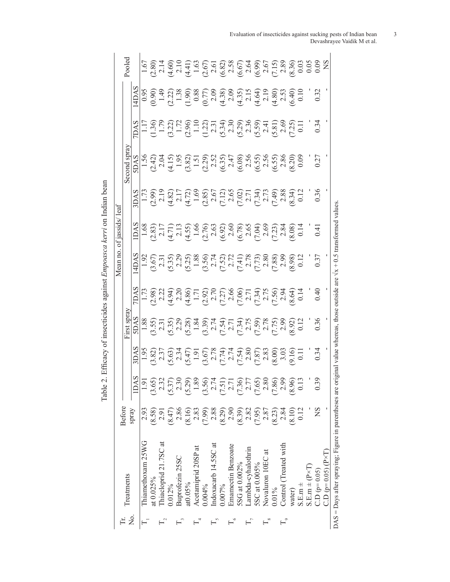|    |                                                           |               |                  |                                                                                                                                                                                                                                                                                                                             |                                                                                                                                                                                                                                                                                                                                                                                                       |               | Mean no.                                                                                                                                                                                                                                                                                                                                                                                            | of jassids/ leaf                                                                                                                                                                                                                                                                                              |                                                                                                                                                                                                                                                                                                                                                                                                                                                                  |                                                                                                                                                                                                                                                                                                                                                                                                                                                                                                                                                                                                                                                 |                                                                                                                                                                                                                                                                            |                                                                                                                                                                                                                                                                                                                |
|----|-----------------------------------------------------------|---------------|------------------|-----------------------------------------------------------------------------------------------------------------------------------------------------------------------------------------------------------------------------------------------------------------------------------------------------------------------------|-------------------------------------------------------------------------------------------------------------------------------------------------------------------------------------------------------------------------------------------------------------------------------------------------------------------------------------------------------------------------------------------------------|---------------|-----------------------------------------------------------------------------------------------------------------------------------------------------------------------------------------------------------------------------------------------------------------------------------------------------------------------------------------------------------------------------------------------------|---------------------------------------------------------------------------------------------------------------------------------------------------------------------------------------------------------------------------------------------------------------------------------------------------------------|------------------------------------------------------------------------------------------------------------------------------------------------------------------------------------------------------------------------------------------------------------------------------------------------------------------------------------------------------------------------------------------------------------------------------------------------------------------|-------------------------------------------------------------------------------------------------------------------------------------------------------------------------------------------------------------------------------------------------------------------------------------------------------------------------------------------------------------------------------------------------------------------------------------------------------------------------------------------------------------------------------------------------------------------------------------------------------------------------------------------------|----------------------------------------------------------------------------------------------------------------------------------------------------------------------------------------------------------------------------------------------------------------------------|----------------------------------------------------------------------------------------------------------------------------------------------------------------------------------------------------------------------------------------------------------------------------------------------------------------|
|    | Treatments                                                | <b>Before</b> |                  |                                                                                                                                                                                                                                                                                                                             | irst spray                                                                                                                                                                                                                                                                                                                                                                                            |               |                                                                                                                                                                                                                                                                                                                                                                                                     |                                                                                                                                                                                                                                                                                                               |                                                                                                                                                                                                                                                                                                                                                                                                                                                                  |                                                                                                                                                                                                                                                                                                                                                                                                                                                                                                                                                                                                                                                 |                                                                                                                                                                                                                                                                            | Pooled                                                                                                                                                                                                                                                                                                         |
| Σ. |                                                           | Spray         | ∽<br>1DA:        | <b>AS</b>                                                                                                                                                                                                                                                                                                                   |                                                                                                                                                                                                                                                                                                                                                                                                       |               |                                                                                                                                                                                                                                                                                                                                                                                                     | <b>DAS</b>                                                                                                                                                                                                                                                                                                    |                                                                                                                                                                                                                                                                                                                                                                                                                                                                  |                                                                                                                                                                                                                                                                                                                                                                                                                                                                                                                                                                                                                                                 | 4DAS                                                                                                                                                                                                                                                                       |                                                                                                                                                                                                                                                                                                                |
|    | Thiamethoxam 25WG                                         | 2.93          | 1.9i             |                                                                                                                                                                                                                                                                                                                             |                                                                                                                                                                                                                                                                                                                                                                                                       |               |                                                                                                                                                                                                                                                                                                                                                                                                     |                                                                                                                                                                                                                                                                                                               |                                                                                                                                                                                                                                                                                                                                                                                                                                                                  |                                                                                                                                                                                                                                                                                                                                                                                                                                                                                                                                                                                                                                                 |                                                                                                                                                                                                                                                                            |                                                                                                                                                                                                                                                                                                                |
|    | at $0.025%$                                               | (8.58)        | (3.65)           |                                                                                                                                                                                                                                                                                                                             |                                                                                                                                                                                                                                                                                                                                                                                                       |               |                                                                                                                                                                                                                                                                                                                                                                                                     |                                                                                                                                                                                                                                                                                                               |                                                                                                                                                                                                                                                                                                                                                                                                                                                                  |                                                                                                                                                                                                                                                                                                                                                                                                                                                                                                                                                                                                                                                 |                                                                                                                                                                                                                                                                            |                                                                                                                                                                                                                                                                                                                |
|    | Thiacloprid 21.7SC at                                     |               | 2.32             |                                                                                                                                                                                                                                                                                                                             |                                                                                                                                                                                                                                                                                                                                                                                                       |               |                                                                                                                                                                                                                                                                                                                                                                                                     |                                                                                                                                                                                                                                                                                                               |                                                                                                                                                                                                                                                                                                                                                                                                                                                                  |                                                                                                                                                                                                                                                                                                                                                                                                                                                                                                                                                                                                                                                 |                                                                                                                                                                                                                                                                            |                                                                                                                                                                                                                                                                                                                |
|    | 0.012%                                                    | (8.47)        | (5.37)           |                                                                                                                                                                                                                                                                                                                             |                                                                                                                                                                                                                                                                                                                                                                                                       |               |                                                                                                                                                                                                                                                                                                                                                                                                     |                                                                                                                                                                                                                                                                                                               |                                                                                                                                                                                                                                                                                                                                                                                                                                                                  |                                                                                                                                                                                                                                                                                                                                                                                                                                                                                                                                                                                                                                                 |                                                                                                                                                                                                                                                                            |                                                                                                                                                                                                                                                                                                                |
|    | Buprofezin 25SC                                           | 2.86          | 2.3(             |                                                                                                                                                                                                                                                                                                                             |                                                                                                                                                                                                                                                                                                                                                                                                       |               |                                                                                                                                                                                                                                                                                                                                                                                                     |                                                                                                                                                                                                                                                                                                               |                                                                                                                                                                                                                                                                                                                                                                                                                                                                  |                                                                                                                                                                                                                                                                                                                                                                                                                                                                                                                                                                                                                                                 |                                                                                                                                                                                                                                                                            |                                                                                                                                                                                                                                                                                                                |
|    | at0.05%                                                   | (8.16)        | (5.29)           |                                                                                                                                                                                                                                                                                                                             |                                                                                                                                                                                                                                                                                                                                                                                                       |               |                                                                                                                                                                                                                                                                                                                                                                                                     |                                                                                                                                                                                                                                                                                                               |                                                                                                                                                                                                                                                                                                                                                                                                                                                                  |                                                                                                                                                                                                                                                                                                                                                                                                                                                                                                                                                                                                                                                 |                                                                                                                                                                                                                                                                            |                                                                                                                                                                                                                                                                                                                |
|    | Acetamiprid 20SP at                                       | 2.83          | $\frac{1.8}{1}$  |                                                                                                                                                                                                                                                                                                                             |                                                                                                                                                                                                                                                                                                                                                                                                       |               |                                                                                                                                                                                                                                                                                                                                                                                                     |                                                                                                                                                                                                                                                                                                               |                                                                                                                                                                                                                                                                                                                                                                                                                                                                  |                                                                                                                                                                                                                                                                                                                                                                                                                                                                                                                                                                                                                                                 |                                                                                                                                                                                                                                                                            |                                                                                                                                                                                                                                                                                                                |
|    | $0.004\%$                                                 | (7.99)        | (3.56)           |                                                                                                                                                                                                                                                                                                                             |                                                                                                                                                                                                                                                                                                                                                                                                       |               |                                                                                                                                                                                                                                                                                                                                                                                                     |                                                                                                                                                                                                                                                                                                               |                                                                                                                                                                                                                                                                                                                                                                                                                                                                  |                                                                                                                                                                                                                                                                                                                                                                                                                                                                                                                                                                                                                                                 |                                                                                                                                                                                                                                                                            |                                                                                                                                                                                                                                                                                                                |
|    | Indoxacarb 14.5SC at                                      | 2.88          | 2.7 <sup>2</sup> |                                                                                                                                                                                                                                                                                                                             |                                                                                                                                                                                                                                                                                                                                                                                                       |               |                                                                                                                                                                                                                                                                                                                                                                                                     |                                                                                                                                                                                                                                                                                                               |                                                                                                                                                                                                                                                                                                                                                                                                                                                                  |                                                                                                                                                                                                                                                                                                                                                                                                                                                                                                                                                                                                                                                 |                                                                                                                                                                                                                                                                            |                                                                                                                                                                                                                                                                                                                |
|    | 0.007%                                                    | (8.29)        | (7.51)           |                                                                                                                                                                                                                                                                                                                             |                                                                                                                                                                                                                                                                                                                                                                                                       |               |                                                                                                                                                                                                                                                                                                                                                                                                     |                                                                                                                                                                                                                                                                                                               |                                                                                                                                                                                                                                                                                                                                                                                                                                                                  |                                                                                                                                                                                                                                                                                                                                                                                                                                                                                                                                                                                                                                                 |                                                                                                                                                                                                                                                                            |                                                                                                                                                                                                                                                                                                                |
|    | Emamectin Benzoate                                        | 2.90          | 2.71             |                                                                                                                                                                                                                                                                                                                             |                                                                                                                                                                                                                                                                                                                                                                                                       |               |                                                                                                                                                                                                                                                                                                                                                                                                     |                                                                                                                                                                                                                                                                                                               |                                                                                                                                                                                                                                                                                                                                                                                                                                                                  |                                                                                                                                                                                                                                                                                                                                                                                                                                                                                                                                                                                                                                                 |                                                                                                                                                                                                                                                                            |                                                                                                                                                                                                                                                                                                                |
|    | 5SG at 0.002%                                             | (8.39)        | (7.36)           | $\begin{array}{l} 1.95 \\[-4pt] 1.93 \\[-4pt] 0.33 \\[-4pt] 0.33 \\[-4pt] 0.33 \\[-4pt] 0.33 \\[-4pt] 0.33 \\[-4pt] 0.33 \\[-4pt] 0.33 \\[-4pt] 0.33 \\[-4pt] 0.33 \\[-4pt] 0.33 \\[-4pt] 0.33 \\[-4pt] 0.33 \\[-4pt] 0.33 \\[-4pt] 0.33 \\[-4pt] 0.33 \\[-4pt] 0.33 \\[-4pt] 0.33 \\[-4pt] 0.33 \\[-4pt] 0.33 \\[-4pt] 0.$ | $\begin{array}{l} \underline{\text{SAS}} \\[-1.5ex] \text{SAS} \\[-1.5ex] \text{SAS} \\[-1.5ex] \text{SAS} \\[-1.5ex] \text{SAS} \\[-1.5ex] \text{SAS} \\[-1.5ex] \text{SAS} \\[-1.5ex] \text{SAS} \\[-1.5ex] \text{SAS} \\[-1.5ex] \text{SAS} \\[-1.5ex] \text{SAS} \\[-1.5ex] \text{SAS} \\[-1.5ex] \text{SAS} \\[-1.5ex] \text{SAS} \\[-1.5ex] \text{SAS} \\[-1.5ex] \text{SAS} \\[-1.5ex] \text{$ |               | $\begin{array}{l} 4880 \\ \text{495} \\ \text{507} \\ \text{639} \\ \text{719} \\ \text{839} \\ \text{950} \\ \text{960} \\ \text{971} \\ \text{983} \\ \text{993} \\ \text{993} \\ \text{993} \\ \text{993} \\ \text{993} \\ \text{993} \\ \text{993} \\ \text{993} \\ \text{993} \\ \text{993} \\ \text{993} \\ \text{993} \\ \text{993} \\ \text{993} \\ \text{993} \\ \text{993} \\ \text{993}$ | $\begin{array}{c} 1.68 \\ 1.71 \\ 1.71 \\ 1.71 \\ 1.71 \\ 1.71 \\ 1.71 \\ 1.71 \\ 1.71 \\ 1.71 \\ 1.71 \\ 1.71 \\ 1.71 \\ 1.71 \\ 1.71 \\ 1.71 \\ 1.71 \\ 1.71 \\ 1.71 \\ 1.71 \\ 1.71 \\ 1.71 \\ 1.71 \\ 1.71 \\ 1.71 \\ 1.71 \\ 1.71 \\ 1.71 \\ 1.71 \\ 1.71 \\ 1.71 \\ 1.71 \\ 1.71 \\ 1.71 \\ 1.71 \\ 1.$ | $\begin{array}{l} \n\underline{\mathbf{A}} \\ \mathbf{A} \\ \mathbf{B} \\ \mathbf{C} \\ \mathbf{A} \\ \mathbf{D} \\ \mathbf{A} \\ \mathbf{A} \\ \mathbf{A} \\ \mathbf{A} \\ \mathbf{A} \\ \mathbf{A} \\ \mathbf{A} \\ \mathbf{A} \\ \mathbf{A} \\ \mathbf{A} \\ \mathbf{A} \\ \mathbf{A} \\ \mathbf{A} \\ \mathbf{A} \\ \mathbf{A} \\ \mathbf{A} \\ \mathbf{A} \\ \mathbf{A} \\ \mathbf{A} \\ \mathbf{A} \\ \mathbf{A} \\ \mathbf{A} \\ \mathbf{A} \\ \mathbf{A$ | $\begin{array}{l} \underline{A} \underline{S} \\ \underline{C} \\ \underline{D} \\ \underline{C} \\ \underline{C} \\ \underline{C} \\ \underline{C} \\ \underline{C} \\ \underline{C} \\ \underline{C} \\ \underline{C} \\ \underline{C} \\ \underline{C} \\ \underline{C} \\ \underline{C} \\ \underline{C} \\ \underline{C} \\ \underline{C} \\ \underline{C} \\ \underline{C} \\ \underline{C} \\ \underline{C} \\ \underline{C} \\ \underline{C} \\ \underline{C} \\ \underline{C} \\ \underline{C} \\ \underline{C} \\ \underline{C} \\ \underline{C} \\ \underline{C} \\ \underline{C} \\ \underline{C} \\ \underline{C} \\ \underline{C$ | $\begin{bmatrix} 9990 & 9990 & 9990 & 9990 & 9990 & 9990 & 9990 & 9990 & 9990 & 9990 & 9990 & 9990 & 9990 & 9990 & 9990 & 9990 & 9990 & 9990 & 9990 & 9990 & 9990 & 9990 & 9990 & 9990 & 9990 & 9990 & 9990 & 9990 & 9990 & 9990 & 9990 & 9990 & 9990 & 9990 & 9990 & 999$ | $\begin{array}{l} 5 \  \  5 \  \  2 \  \  2 \  \  2 \  \  2 \  \  2 \  \  2 \  \  2 \  \  2 \  \  2 \  \  2 \  \  2 \  \  2 \  \  2 \  \  2 \  \  2 \  \  2 \  \  2 \  \  2 \  \  2 \  \  2 \  \  2 \  \  2 \  \  2 \  \  2 \  \  2 \  \  2 \  \  2 \  \  2 \  \  2 \  \  2 \  \  2 \  \  2 \  \  2 \  \  2 \$ |
|    | Lambda-cyhalothrin                                        | 2.82          | 2.77             |                                                                                                                                                                                                                                                                                                                             |                                                                                                                                                                                                                                                                                                                                                                                                       |               |                                                                                                                                                                                                                                                                                                                                                                                                     |                                                                                                                                                                                                                                                                                                               |                                                                                                                                                                                                                                                                                                                                                                                                                                                                  |                                                                                                                                                                                                                                                                                                                                                                                                                                                                                                                                                                                                                                                 |                                                                                                                                                                                                                                                                            |                                                                                                                                                                                                                                                                                                                |
|    | 5SC at 0.005%                                             | (7.95)        | (7.65)           |                                                                                                                                                                                                                                                                                                                             |                                                                                                                                                                                                                                                                                                                                                                                                       |               |                                                                                                                                                                                                                                                                                                                                                                                                     |                                                                                                                                                                                                                                                                                                               |                                                                                                                                                                                                                                                                                                                                                                                                                                                                  |                                                                                                                                                                                                                                                                                                                                                                                                                                                                                                                                                                                                                                                 |                                                                                                                                                                                                                                                                            |                                                                                                                                                                                                                                                                                                                |
|    | Novaluron 10EC at                                         | 2.87          | 2.80             |                                                                                                                                                                                                                                                                                                                             |                                                                                                                                                                                                                                                                                                                                                                                                       |               |                                                                                                                                                                                                                                                                                                                                                                                                     |                                                                                                                                                                                                                                                                                                               |                                                                                                                                                                                                                                                                                                                                                                                                                                                                  |                                                                                                                                                                                                                                                                                                                                                                                                                                                                                                                                                                                                                                                 |                                                                                                                                                                                                                                                                            |                                                                                                                                                                                                                                                                                                                |
|    | $0.01\%$                                                  | (8.23)        | (7.86)           |                                                                                                                                                                                                                                                                                                                             |                                                                                                                                                                                                                                                                                                                                                                                                       |               |                                                                                                                                                                                                                                                                                                                                                                                                     |                                                                                                                                                                                                                                                                                                               |                                                                                                                                                                                                                                                                                                                                                                                                                                                                  |                                                                                                                                                                                                                                                                                                                                                                                                                                                                                                                                                                                                                                                 |                                                                                                                                                                                                                                                                            |                                                                                                                                                                                                                                                                                                                |
|    | Control (Treated with                                     | 2.84          | 2.90             |                                                                                                                                                                                                                                                                                                                             |                                                                                                                                                                                                                                                                                                                                                                                                       |               |                                                                                                                                                                                                                                                                                                                                                                                                     |                                                                                                                                                                                                                                                                                                               |                                                                                                                                                                                                                                                                                                                                                                                                                                                                  |                                                                                                                                                                                                                                                                                                                                                                                                                                                                                                                                                                                                                                                 |                                                                                                                                                                                                                                                                            |                                                                                                                                                                                                                                                                                                                |
|    | water)                                                    | (8.10)        | (8.96)           |                                                                                                                                                                                                                                                                                                                             |                                                                                                                                                                                                                                                                                                                                                                                                       |               |                                                                                                                                                                                                                                                                                                                                                                                                     |                                                                                                                                                                                                                                                                                                               |                                                                                                                                                                                                                                                                                                                                                                                                                                                                  |                                                                                                                                                                                                                                                                                                                                                                                                                                                                                                                                                                                                                                                 |                                                                                                                                                                                                                                                                            |                                                                                                                                                                                                                                                                                                                |
|    | $S.E.m. \pm$                                              | 0.12          |                  |                                                                                                                                                                                                                                                                                                                             |                                                                                                                                                                                                                                                                                                                                                                                                       |               |                                                                                                                                                                                                                                                                                                                                                                                                     |                                                                                                                                                                                                                                                                                                               |                                                                                                                                                                                                                                                                                                                                                                                                                                                                  |                                                                                                                                                                                                                                                                                                                                                                                                                                                                                                                                                                                                                                                 |                                                                                                                                                                                                                                                                            |                                                                                                                                                                                                                                                                                                                |
|    | $S.E.m + (P \times T)$                                    |               |                  |                                                                                                                                                                                                                                                                                                                             |                                                                                                                                                                                                                                                                                                                                                                                                       |               |                                                                                                                                                                                                                                                                                                                                                                                                     |                                                                                                                                                                                                                                                                                                               |                                                                                                                                                                                                                                                                                                                                                                                                                                                                  |                                                                                                                                                                                                                                                                                                                                                                                                                                                                                                                                                                                                                                                 |                                                                                                                                                                                                                                                                            |                                                                                                                                                                                                                                                                                                                |
|    | $C.D (p=0.05)$                                            | $_{\rm NS}$   | $\tilde{c}$ .0   | $\frac{34}{2}$                                                                                                                                                                                                                                                                                                              | $\frac{36}{2}$                                                                                                                                                                                                                                                                                                                                                                                        | $\frac{4}{0}$ |                                                                                                                                                                                                                                                                                                                                                                                                     |                                                                                                                                                                                                                                                                                                               |                                                                                                                                                                                                                                                                                                                                                                                                                                                                  |                                                                                                                                                                                                                                                                                                                                                                                                                                                                                                                                                                                                                                                 |                                                                                                                                                                                                                                                                            |                                                                                                                                                                                                                                                                                                                |
|    | $CD (p=0.05) (P \times T)$                                |               |                  |                                                                                                                                                                                                                                                                                                                             |                                                                                                                                                                                                                                                                                                                                                                                                       |               |                                                                                                                                                                                                                                                                                                                                                                                                     |                                                                                                                                                                                                                                                                                                               |                                                                                                                                                                                                                                                                                                                                                                                                                                                                  |                                                                                                                                                                                                                                                                                                                                                                                                                                                                                                                                                                                                                                                 |                                                                                                                                                                                                                                                                            |                                                                                                                                                                                                                                                                                                                |
|    | $DAS =$ Days after spraying; Figure in parentheses are or |               |                  |                                                                                                                                                                                                                                                                                                                             |                                                                                                                                                                                                                                                                                                                                                                                                       |               |                                                                                                                                                                                                                                                                                                                                                                                                     | ginal value whereas, those outside are $\sqrt{x} + 0.5$ transformed values                                                                                                                                                                                                                                    |                                                                                                                                                                                                                                                                                                                                                                                                                                                                  |                                                                                                                                                                                                                                                                                                                                                                                                                                                                                                                                                                                                                                                 |                                                                                                                                                                                                                                                                            |                                                                                                                                                                                                                                                                                                                |

Table 2. Efficacy of insecticides against Empoasca kerri on Indian bean Table 2. Efficacy of insecticides against *Empoasca kerri* on Indian bean

Evaluation of insecticides against sucking pests of Indian bean 3 Devashrayee Vaidik M et al.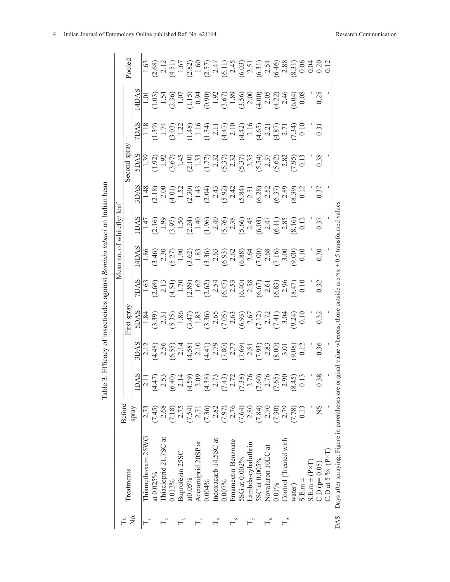|                     |                            |             |                                                                                                                                                                                                                                                                                                                                                                                                                                                                                                                                                   |                                                                                                                                                                                                                                                                                                                                                                                                     |                                                                                                                                                                                                                                                                                                                                                                                                                                                                                                                                                                                                                                       |                                                                                                                                                                                                                                                                                                                                        | Mean no. | of whitefly/leaf                                                                                                                 |                                                                                                                                                                                                                                                                                                                                                                                                                                  |                                                                                                                                                                                                                                                                                                                                                 |        |
|---------------------|----------------------------|-------------|---------------------------------------------------------------------------------------------------------------------------------------------------------------------------------------------------------------------------------------------------------------------------------------------------------------------------------------------------------------------------------------------------------------------------------------------------------------------------------------------------------------------------------------------------|-----------------------------------------------------------------------------------------------------------------------------------------------------------------------------------------------------------------------------------------------------------------------------------------------------------------------------------------------------------------------------------------------------|---------------------------------------------------------------------------------------------------------------------------------------------------------------------------------------------------------------------------------------------------------------------------------------------------------------------------------------------------------------------------------------------------------------------------------------------------------------------------------------------------------------------------------------------------------------------------------------------------------------------------------------|----------------------------------------------------------------------------------------------------------------------------------------------------------------------------------------------------------------------------------------------------------------------------------------------------------------------------------------|----------|----------------------------------------------------------------------------------------------------------------------------------|----------------------------------------------------------------------------------------------------------------------------------------------------------------------------------------------------------------------------------------------------------------------------------------------------------------------------------------------------------------------------------------------------------------------------------|-------------------------------------------------------------------------------------------------------------------------------------------------------------------------------------------------------------------------------------------------------------------------------------------------------------------------------------------------|--------|
| ,<br>Z              | Treatments                 | Before      |                                                                                                                                                                                                                                                                                                                                                                                                                                                                                                                                                   |                                                                                                                                                                                                                                                                                                                                                                                                     | First spra                                                                                                                                                                                                                                                                                                                                                                                                                                                                                                                                                                                                                            |                                                                                                                                                                                                                                                                                                                                        |          |                                                                                                                                  | Second spray                                                                                                                                                                                                                                                                                                                                                                                                                     |                                                                                                                                                                                                                                                                                                                                                 | Pooled |
|                     |                            | spray       |                                                                                                                                                                                                                                                                                                                                                                                                                                                                                                                                                   |                                                                                                                                                                                                                                                                                                                                                                                                     |                                                                                                                                                                                                                                                                                                                                                                                                                                                                                                                                                                                                                                       |                                                                                                                                                                                                                                                                                                                                        |          |                                                                                                                                  |                                                                                                                                                                                                                                                                                                                                                                                                                                  |                                                                                                                                                                                                                                                                                                                                                 |        |
| F                   | Thiamethoxam 25WG          | 2.73        | $\begin{array}{l} \underline{\mathsf{A}}\mathsf{A}\mathsf{S}\mathsf{I} \\ \underline{\mathsf{A}}\mathsf{I} \\ \underline{\mathsf{A}}\mathsf{I} \\ \underline{\mathsf{A}}\mathsf{I} \\ \underline{\mathsf{A}}\mathsf{I} \\ \underline{\mathsf{A}}\mathsf{I} \\ \underline{\mathsf{A}}\mathsf{I} \\ \underline{\mathsf{A}}\mathsf{I} \\ \underline{\mathsf{A}}\mathsf{I} \\ \underline{\mathsf{A}}\mathsf{I} \\ \underline{\mathsf{A}}\mathsf{I} \\ \underline{\mathsf{A}}\mathsf{I} \\ \underline{\mathsf{A}}\mathsf{I} \\ \underline{\mathsf{A}}$ | $\lim_{x\to a} \lim_{x\to a} \lim_{x\to a} \lim_{x\to a} \lim_{x\to a} \lim_{x\to a} \lim_{x\to a} \lim_{x\to a} \lim_{x\to a} \lim_{x\to a} \lim_{x\to a} \lim_{x\to a} \lim_{x\to a} \lim_{x\to a} \lim_{x\to a} \lim_{x\to a} \lim_{x\to a} \lim_{x\to a} \lim_{x\to a} \lim_{x\to a} \lim_{x\to a} \lim_{x\to a} \lim_{x\to a} \lim_{x\to a} \lim_{x\to a} \lim_{x\to a} \lim_{x\to a} \lim_{x$ | $\begin{array}{l} \underline{\mathsf{N}}\\ \underline{\mathsf{N}}\\ \underline{\mathsf{N}}\\ \underline{\mathsf{N}}\\ \underline{\mathsf{N}}\\ \underline{\mathsf{N}}\\ \underline{\mathsf{N}}\\ \underline{\mathsf{N}}\\ \underline{\mathsf{N}}\\ \underline{\mathsf{N}}\\ \underline{\mathsf{N}}\\ \underline{\mathsf{N}}\\ \underline{\mathsf{N}}\\ \underline{\mathsf{N}}\\ \underline{\mathsf{N}}\\ \underline{\mathsf{N}}\\ \underline{\mathsf{N}}\\ \underline{\mathsf{N}}\\ \underline{\mathsf{N}}\\ \underline{\mathsf{N}}\\ \underline{\mathsf{N}}\\ \underline{\mathsf{N}}\\ \underline{\mathsf{N}}\\ \underline{\mathsf{$ | $\begin{array}{l} 248 \\[-4pt] 103 \\[-4pt] 243 \\[-4pt] 243 \\[-4pt] 243 \\[-4pt] 243 \\[-4pt] 243 \\[-4pt] 243 \\[-4pt] 243 \\[-4pt] 243 \\[-4pt] 243 \\[-4pt] 243 \\[-4pt] 243 \\[-4pt] 243 \\[-4pt] 243 \\[-4pt] 243 \\[-4pt] 243 \\[-4pt] 243 \\[-4pt] 243 \\[-4pt] 243 \\[-4pt] 243 \\[-4pt] 243 \\[-4pt] 243 \\[-4pt] 243 \\[-$ |          | 8145 0 3 6 7 9 9 9 9 9 9 9 9 9 9 9 9 9 9 0 1<br>Ali Cano Cano Cano Cano Cano Cano Cano<br>Ali Cano Cano Cano Cano Cano Cano Cano | $\begin{array}{l} \mathcal{L}[3] \mathfrak{A} \mathfrak{A} \mathfrak{A} \mathfrak{A} \mathfrak{A} \mathfrak{A} \mathfrak{A} \mathfrak{A} \mathfrak{A} \mathfrak{A} \mathfrak{A} \mathfrak{A} \mathfrak{A} \mathfrak{A} \mathfrak{A} \mathfrak{A} \mathfrak{A} \mathfrak{A} \mathfrak{A} \mathfrak{A} \mathfrak{A} \mathfrak{A} \mathfrak{A} \mathfrak{A} \mathfrak{A} \mathfrak{A} \mathfrak{A} \mathfrak{A} \mathfrak{A} \math$ | $\begin{array}{l} 488 \\ 4101 \\ -1001 \\ -1001 \\ -1000 \\ -1000 \\ -1000 \\ -1000 \\ -1000 \\ -1000 \\ -1000 \\ -1000 \\ -1000 \\ -1000 \\ -1000 \\ -1000 \\ -1000 \\ -1000 \\ -1000 \\ -1000 \\ -1000 \\ -1000 \\ -1000 \\ -1000 \\ -1000 \\ -1000 \\ -1000 \\ -1000 \\ -1000 \\ -1000 \\ -1000 \\ -1000 \\ -1000 \\ -1000 \\ -1000 \\ -100$ |        |
|                     | at 0.025%                  | (7.45)      |                                                                                                                                                                                                                                                                                                                                                                                                                                                                                                                                                   |                                                                                                                                                                                                                                                                                                                                                                                                     |                                                                                                                                                                                                                                                                                                                                                                                                                                                                                                                                                                                                                                       |                                                                                                                                                                                                                                                                                                                                        |          |                                                                                                                                  |                                                                                                                                                                                                                                                                                                                                                                                                                                  |                                                                                                                                                                                                                                                                                                                                                 |        |
|                     | Thiacloprid 21.7SC at      | 2.68        |                                                                                                                                                                                                                                                                                                                                                                                                                                                                                                                                                   |                                                                                                                                                                                                                                                                                                                                                                                                     |                                                                                                                                                                                                                                                                                                                                                                                                                                                                                                                                                                                                                                       |                                                                                                                                                                                                                                                                                                                                        |          |                                                                                                                                  |                                                                                                                                                                                                                                                                                                                                                                                                                                  |                                                                                                                                                                                                                                                                                                                                                 |        |
|                     | 0.012%                     | (7.18)      |                                                                                                                                                                                                                                                                                                                                                                                                                                                                                                                                                   |                                                                                                                                                                                                                                                                                                                                                                                                     |                                                                                                                                                                                                                                                                                                                                                                                                                                                                                                                                                                                                                                       |                                                                                                                                                                                                                                                                                                                                        |          |                                                                                                                                  |                                                                                                                                                                                                                                                                                                                                                                                                                                  |                                                                                                                                                                                                                                                                                                                                                 |        |
|                     | Buprofezin 25SC            | 2.75        |                                                                                                                                                                                                                                                                                                                                                                                                                                                                                                                                                   |                                                                                                                                                                                                                                                                                                                                                                                                     |                                                                                                                                                                                                                                                                                                                                                                                                                                                                                                                                                                                                                                       |                                                                                                                                                                                                                                                                                                                                        |          |                                                                                                                                  |                                                                                                                                                                                                                                                                                                                                                                                                                                  |                                                                                                                                                                                                                                                                                                                                                 |        |
|                     | at0.05%                    | (7.54)      |                                                                                                                                                                                                                                                                                                                                                                                                                                                                                                                                                   |                                                                                                                                                                                                                                                                                                                                                                                                     |                                                                                                                                                                                                                                                                                                                                                                                                                                                                                                                                                                                                                                       |                                                                                                                                                                                                                                                                                                                                        |          |                                                                                                                                  |                                                                                                                                                                                                                                                                                                                                                                                                                                  |                                                                                                                                                                                                                                                                                                                                                 |        |
|                     | Acetamiprid 20SP at        | 2.71        |                                                                                                                                                                                                                                                                                                                                                                                                                                                                                                                                                   |                                                                                                                                                                                                                                                                                                                                                                                                     |                                                                                                                                                                                                                                                                                                                                                                                                                                                                                                                                                                                                                                       |                                                                                                                                                                                                                                                                                                                                        |          |                                                                                                                                  |                                                                                                                                                                                                                                                                                                                                                                                                                                  |                                                                                                                                                                                                                                                                                                                                                 |        |
|                     | $0.004\%$                  | (7.36)      |                                                                                                                                                                                                                                                                                                                                                                                                                                                                                                                                                   |                                                                                                                                                                                                                                                                                                                                                                                                     |                                                                                                                                                                                                                                                                                                                                                                                                                                                                                                                                                                                                                                       |                                                                                                                                                                                                                                                                                                                                        |          |                                                                                                                                  |                                                                                                                                                                                                                                                                                                                                                                                                                                  |                                                                                                                                                                                                                                                                                                                                                 |        |
|                     | Indoxacarb 14.5SC at       | 2.82        |                                                                                                                                                                                                                                                                                                                                                                                                                                                                                                                                                   |                                                                                                                                                                                                                                                                                                                                                                                                     |                                                                                                                                                                                                                                                                                                                                                                                                                                                                                                                                                                                                                                       |                                                                                                                                                                                                                                                                                                                                        |          |                                                                                                                                  |                                                                                                                                                                                                                                                                                                                                                                                                                                  |                                                                                                                                                                                                                                                                                                                                                 |        |
|                     | 0.007%                     | (7.97)      |                                                                                                                                                                                                                                                                                                                                                                                                                                                                                                                                                   |                                                                                                                                                                                                                                                                                                                                                                                                     |                                                                                                                                                                                                                                                                                                                                                                                                                                                                                                                                                                                                                                       |                                                                                                                                                                                                                                                                                                                                        |          |                                                                                                                                  |                                                                                                                                                                                                                                                                                                                                                                                                                                  |                                                                                                                                                                                                                                                                                                                                                 |        |
|                     | Emamectin Benzoate         | 2.76        |                                                                                                                                                                                                                                                                                                                                                                                                                                                                                                                                                   |                                                                                                                                                                                                                                                                                                                                                                                                     |                                                                                                                                                                                                                                                                                                                                                                                                                                                                                                                                                                                                                                       |                                                                                                                                                                                                                                                                                                                                        |          |                                                                                                                                  |                                                                                                                                                                                                                                                                                                                                                                                                                                  |                                                                                                                                                                                                                                                                                                                                                 |        |
|                     | 5SG at 0.002%              | (7.64)      |                                                                                                                                                                                                                                                                                                                                                                                                                                                                                                                                                   |                                                                                                                                                                                                                                                                                                                                                                                                     |                                                                                                                                                                                                                                                                                                                                                                                                                                                                                                                                                                                                                                       |                                                                                                                                                                                                                                                                                                                                        |          |                                                                                                                                  |                                                                                                                                                                                                                                                                                                                                                                                                                                  |                                                                                                                                                                                                                                                                                                                                                 |        |
| Е                   | Lambda-cyhalothrin         | 2.80        |                                                                                                                                                                                                                                                                                                                                                                                                                                                                                                                                                   |                                                                                                                                                                                                                                                                                                                                                                                                     |                                                                                                                                                                                                                                                                                                                                                                                                                                                                                                                                                                                                                                       |                                                                                                                                                                                                                                                                                                                                        |          |                                                                                                                                  |                                                                                                                                                                                                                                                                                                                                                                                                                                  |                                                                                                                                                                                                                                                                                                                                                 |        |
|                     | 5SC at 0.005%              | (7.84)      |                                                                                                                                                                                                                                                                                                                                                                                                                                                                                                                                                   |                                                                                                                                                                                                                                                                                                                                                                                                     |                                                                                                                                                                                                                                                                                                                                                                                                                                                                                                                                                                                                                                       |                                                                                                                                                                                                                                                                                                                                        |          |                                                                                                                                  |                                                                                                                                                                                                                                                                                                                                                                                                                                  |                                                                                                                                                                                                                                                                                                                                                 |        |
|                     | Novaluron 10EC at          | 2.70        |                                                                                                                                                                                                                                                                                                                                                                                                                                                                                                                                                   |                                                                                                                                                                                                                                                                                                                                                                                                     |                                                                                                                                                                                                                                                                                                                                                                                                                                                                                                                                                                                                                                       |                                                                                                                                                                                                                                                                                                                                        |          |                                                                                                                                  |                                                                                                                                                                                                                                                                                                                                                                                                                                  |                                                                                                                                                                                                                                                                                                                                                 |        |
|                     | $0.01\%$                   | (7.30)      |                                                                                                                                                                                                                                                                                                                                                                                                                                                                                                                                                   |                                                                                                                                                                                                                                                                                                                                                                                                     |                                                                                                                                                                                                                                                                                                                                                                                                                                                                                                                                                                                                                                       |                                                                                                                                                                                                                                                                                                                                        |          |                                                                                                                                  |                                                                                                                                                                                                                                                                                                                                                                                                                                  |                                                                                                                                                                                                                                                                                                                                                 |        |
| $\overline{1}$<br>Е | Control (Treated with      | 2.79        |                                                                                                                                                                                                                                                                                                                                                                                                                                                                                                                                                   |                                                                                                                                                                                                                                                                                                                                                                                                     |                                                                                                                                                                                                                                                                                                                                                                                                                                                                                                                                                                                                                                       |                                                                                                                                                                                                                                                                                                                                        |          |                                                                                                                                  |                                                                                                                                                                                                                                                                                                                                                                                                                                  |                                                                                                                                                                                                                                                                                                                                                 |        |
|                     | water)                     | (7.78)      |                                                                                                                                                                                                                                                                                                                                                                                                                                                                                                                                                   |                                                                                                                                                                                                                                                                                                                                                                                                     |                                                                                                                                                                                                                                                                                                                                                                                                                                                                                                                                                                                                                                       |                                                                                                                                                                                                                                                                                                                                        |          |                                                                                                                                  |                                                                                                                                                                                                                                                                                                                                                                                                                                  |                                                                                                                                                                                                                                                                                                                                                 |        |
|                     | $S.E.m \pm$                | 0.13        |                                                                                                                                                                                                                                                                                                                                                                                                                                                                                                                                                   |                                                                                                                                                                                                                                                                                                                                                                                                     |                                                                                                                                                                                                                                                                                                                                                                                                                                                                                                                                                                                                                                       |                                                                                                                                                                                                                                                                                                                                        |          |                                                                                                                                  |                                                                                                                                                                                                                                                                                                                                                                                                                                  |                                                                                                                                                                                                                                                                                                                                                 |        |
|                     | $S.E.m = (P \times T)$     |             |                                                                                                                                                                                                                                                                                                                                                                                                                                                                                                                                                   |                                                                                                                                                                                                                                                                                                                                                                                                     |                                                                                                                                                                                                                                                                                                                                                                                                                                                                                                                                                                                                                                       |                                                                                                                                                                                                                                                                                                                                        |          |                                                                                                                                  |                                                                                                                                                                                                                                                                                                                                                                                                                                  |                                                                                                                                                                                                                                                                                                                                                 |        |
|                     | $CD (p=0.05)$              | $_{\rm SN}$ |                                                                                                                                                                                                                                                                                                                                                                                                                                                                                                                                                   |                                                                                                                                                                                                                                                                                                                                                                                                     |                                                                                                                                                                                                                                                                                                                                                                                                                                                                                                                                                                                                                                       |                                                                                                                                                                                                                                                                                                                                        |          |                                                                                                                                  |                                                                                                                                                                                                                                                                                                                                                                                                                                  |                                                                                                                                                                                                                                                                                                                                                 |        |
|                     | $CD$ at 5 % $(P \times T)$ |             |                                                                                                                                                                                                                                                                                                                                                                                                                                                                                                                                                   |                                                                                                                                                                                                                                                                                                                                                                                                     |                                                                                                                                                                                                                                                                                                                                                                                                                                                                                                                                                                                                                                       |                                                                                                                                                                                                                                                                                                                                        |          |                                                                                                                                  |                                                                                                                                                                                                                                                                                                                                                                                                                                  |                                                                                                                                                                                                                                                                                                                                                 |        |